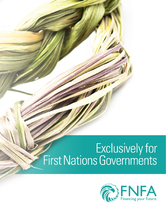# Exclusively for<br>First Nations Governments

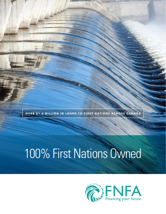**OVER \$1.6 BILLION IN LOANS TO FIRST NATIONS ACROSS CANADA** 

### 100% First Nations Owned

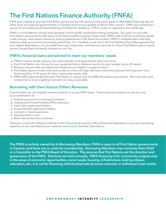### **The First Nations Finance Authority (FNFA)**

FNFA was created to provide First Nation governments with access to the same types of affordable financing that all other local and regional governments in Canada use to ensure quality of life for their citizens. FNFA was formed by a group of successful and forward-thinking First Nations' leaders in 1993 in order to respond to this challenge.

FNFA is a First Nations owned and operated, not-for-profit, pooled-borrowing institution. Our goal is to provide First Nation governments with loans at the best possible long-term fixed rates. FNFA, with its three investment-grade credit ratings, raises these monies by issuing debentures in the financial markets. FNFA is modeled after tried and tested pooled government borrowing authorities. Our mandate as set out in the First Nations Fiscal Management Act and related Regulations, is to provide financing, investment, and advisory services for those First Nation governments across Canada that voluntarily schedule to our Act.

#### **FNFA's financial loans are tailored to meet our members' needs**

- FNFA is not-for-profit, and our loan rates parallel local government rates (very low);
- **•** Each First Nation can choose its own repayment term, whatever works for your budget (up to 30 years);
- **•** Revenue streams that are stable and long-term are eligible to support loans;
- **•** First Nation governments now have access to interim/bridge (during construction phases) and long-term loan financing (from 5-30 years) for their community needs; and,
- **•** FNFA staff understands that each First Nation is unique and has different needs and projects. We work with each community to ensure getting involved is as easy as possible.

#### **Borrowing with Own Source (Other) Revenues**

Communities can use eligible revenue streams to access FNFA loans. These revenues streams can be any one, or a combination of:

- **•** Federal, provincial or municipal transfers;
- **•** Independent Power Projects (IPPs) revenues;
- **•** Land claim settlement dollars;
- **•** Impact benefit agreement dollars;
- **•** Contract or lease payments;
- **•** Gaming dollars; and,
- **•** Band owned business revenues.

These are more fully defined outlined in the Financing Secured by Other Revenues Regulations, and your borrowing capacity can be calculated on our website www.fnfa.ca (look for Calculators).

**The FNFA is entirely owned by its Borrowing Members; FNFA is open to all First Nation governments in Canada, and there are no costs for membership. Borrowing Members may nominate their Chief or a Councillor to the FNFA Board of Directors. This ensures that First Nations set the direction and governance of the FNFA. Elections are held annually. FNFA financing is for community projects only in the areas of economic opportunities, social needs, housing, infrastructure, land purchases, education, etc.; it is not for financing individual/private business ventures, or individual's loan needs.**